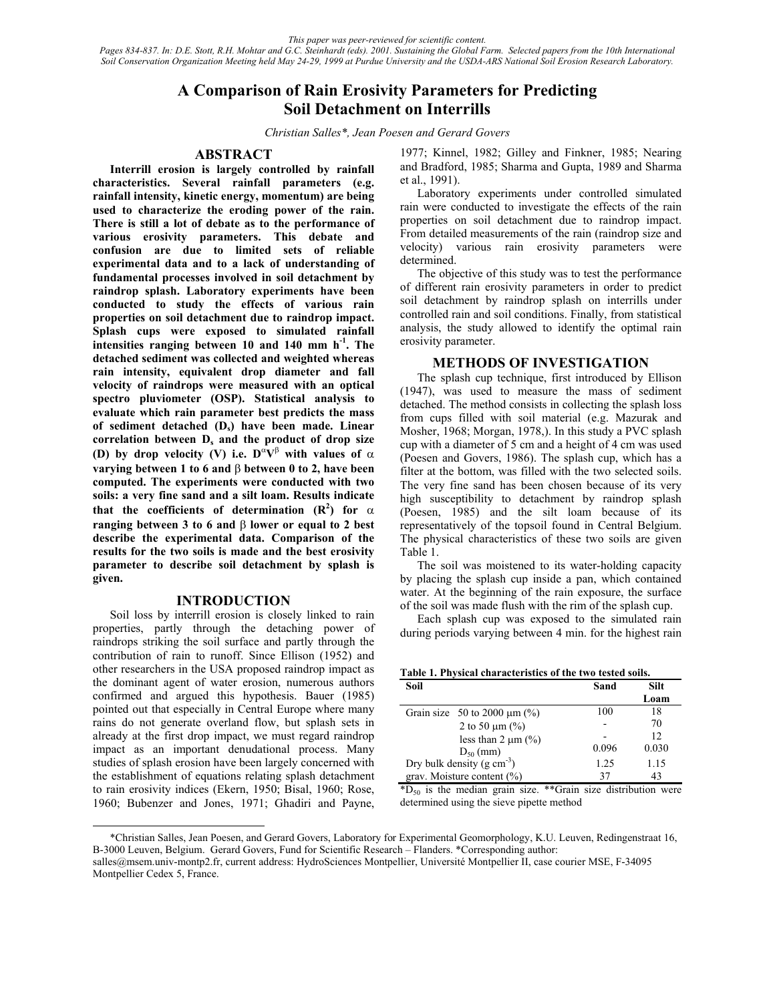*This paper was peer-reviewed for scientific content. Pages 834-837. In: D.E. Stott, R.H. Mohtar and G.C. Steinhardt (eds). 2001. Sustaining the Global Farm. Selected papers from the 10th International Soil Conservation Organization Meeting held May 24-29, 1999 at Purdue University and the USDA-ARS National Soil Erosion Research Laboratory.*

# **A Comparison of Rain Erosivity Parameters for Predicting Soil Detachment on Interrills**

*Christian Salles\*, Jean Poesen and Gerard Govers* 

# **ABSTRACT**

**Interrill erosion is largely controlled by rainfall characteristics. Several rainfall parameters (e.g. rainfall intensity, kinetic energy, momentum) are being used to characterize the eroding power of the rain. There is still a lot of debate as to the performance of various erosivity parameters. This debate and confusion are due to limited sets of reliable experimental data and to a lack of understanding of fundamental processes involved in soil detachment by raindrop splash. Laboratory experiments have been conducted to study the effects of various rain properties on soil detachment due to raindrop impact. Splash cups were exposed to simulated rainfall intensities ranging between 10 and 140 mm h-1. The detached sediment was collected and weighted whereas rain intensity, equivalent drop diameter and fall velocity of raindrops were measured with an optical spectro pluviometer (OSP). Statistical analysis to evaluate which rain parameter best predicts the mass of sediment detached (Ds) have been made. Linear**  correlation between D<sub>s</sub> and the product of drop size **(D)** by drop velocity (V) i.e.  $D^{\alpha}V^{\beta}$  with values of  $\alpha$ **varying between 1 to 6 and** β **between 0 to 2, have been computed. The experiments were conducted with two soils: a very fine sand and a silt loam. Results indicate that the coefficients of determination (R<sup>2</sup> ) for** α **ranging between 3 to 6 and** β **lower or equal to 2 best describe the experimental data. Comparison of the results for the two soils is made and the best erosivity parameter to describe soil detachment by splash is given.** 

## **INTRODUCTION**

Soil loss by interrill erosion is closely linked to rain properties, partly through the detaching power of raindrops striking the soil surface and partly through the contribution of rain to runoff. Since Ellison (1952) and other researchers in the USA proposed raindrop impact as the dominant agent of water erosion, numerous authors confirmed and argued this hypothesis. Bauer (1985) pointed out that especially in Central Europe where many rains do not generate overland flow, but splash sets in already at the first drop impact, we must regard raindrop impact as an important denudational process. Many studies of splash erosion have been largely concerned with the establishment of equations relating splash detachment to rain erosivity indices (Ekern, 1950; Bisal, 1960; Rose, 1960; Bubenzer and Jones, 1971; Ghadiri and Payne,

 $\overline{a}$ 

1977; Kinnel, 1982; Gilley and Finkner, 1985; Nearing and Bradford, 1985; Sharma and Gupta, 1989 and Sharma et al., 1991).

Laboratory experiments under controlled simulated rain were conducted to investigate the effects of the rain properties on soil detachment due to raindrop impact. From detailed measurements of the rain (raindrop size and velocity) various rain erosivity parameters were determined.

The objective of this study was to test the performance of different rain erosivity parameters in order to predict soil detachment by raindrop splash on interrills under controlled rain and soil conditions. Finally, from statistical analysis, the study allowed to identify the optimal rain erosivity parameter.

## **METHODS OF INVESTIGATION**

The splash cup technique, first introduced by Ellison (1947), was used to measure the mass of sediment detached. The method consists in collecting the splash loss from cups filled with soil material (e.g. Mazurak and Mosher, 1968; Morgan, 1978,). In this study a PVC splash cup with a diameter of 5 cm and a height of 4 cm was used (Poesen and Govers, 1986). The splash cup, which has a filter at the bottom, was filled with the two selected soils. The very fine sand has been chosen because of its very high susceptibility to detachment by raindrop splash (Poesen, 1985) and the silt loam because of its representatively of the topsoil found in Central Belgium. The physical characteristics of these two soils are given Table 1.

The soil was moistened to its water-holding capacity by placing the splash cup inside a pan, which contained water. At the beginning of the rain exposure, the surface of the soil was made flush with the rim of the splash cup.

Each splash cup was exposed to the simulated rain during periods varying between 4 min. for the highest rain

**Table 1. Physical characteristics of the two tested soils.** 

| Soil                                   | Sand  | <b>Silt</b> |
|----------------------------------------|-------|-------------|
|                                        |       | Loam        |
| Grain size 50 to 2000 $\mu$ m (%)      | 100   | 18          |
| 2 to 50 $\mu$ m (%)                    |       | 70          |
| less than 2 $\mu$ m (%)                |       | 12          |
| $D_{50}$ (mm)                          | 0.096 | 0.030       |
| Dry bulk density $(g \text{ cm}^{-3})$ | 1.25  | 1.15        |
| grav. Moisture content $(\% )$         | 37    | 43          |

 $*D_{50}$  is the median grain size.  $*G$ rain size distribution were determined using the sieve pipette method

<sup>\*</sup>Christian Salles, Jean Poesen, and Gerard Govers, Laboratory for Experimental Geomorphology, K.U. Leuven, Redingenstraat 16, B-3000 Leuven, Belgium. Gerard Govers, Fund for Scientific Research – Flanders. \*Corresponding author: salles@msem.univ-montp2.fr, current address: HydroSciences Montpellier, Université Montpellier II, case courier MSE, F-34095 Montpellier Cedex 5, France.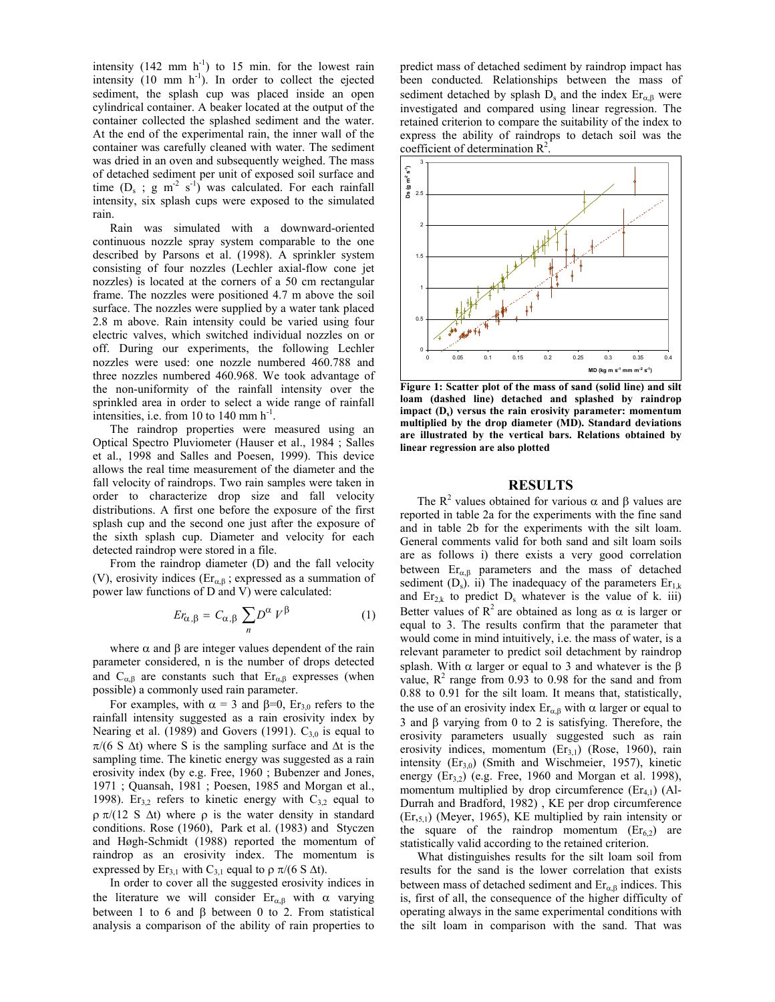intensity  $(142 \text{ mm h}^{-1})$  to 15 min. for the lowest rain intensity  $(10 \text{ mm/h}^{-1})$ . In order to collect the ejected sediment, the splash cup was placed inside an open cylindrical container. A beaker located at the output of the container collected the splashed sediment and the water. At the end of the experimental rain, the inner wall of the container was carefully cleaned with water. The sediment was dried in an oven and subsequently weighed. The mass of detached sediment per unit of exposed soil surface and time  $(D_s$ ; g m<sup>-2</sup> s<sup>-1</sup>) was calculated. For each rainfall intensity, six splash cups were exposed to the simulated rain.

Rain was simulated with a downward-oriented continuous nozzle spray system comparable to the one described by Parsons et al. (1998). A sprinkler system consisting of four nozzles (Lechler axial-flow cone jet nozzles) is located at the corners of a 50 cm rectangular frame. The nozzles were positioned 4.7 m above the soil surface. The nozzles were supplied by a water tank placed 2.8 m above. Rain intensity could be varied using four electric valves, which switched individual nozzles on or off. During our experiments, the following Lechler nozzles were used: one nozzle numbered 460.788 and three nozzles numbered 460.968. We took advantage of the non-uniformity of the rainfall intensity over the sprinkled area in order to select a wide range of rainfall intensities, i.e. from 10 to 140 mm  $h^{-1}$ .

The raindrop properties were measured using an Optical Spectro Pluviometer (Hauser et al., 1984 ; Salles et al., 1998 and Salles and Poesen, 1999). This device allows the real time measurement of the diameter and the fall velocity of raindrops. Two rain samples were taken in order to characterize drop size and fall velocity distributions. A first one before the exposure of the first splash cup and the second one just after the exposure of the sixth splash cup. Diameter and velocity for each detected raindrop were stored in a file.

From the raindrop diameter (D) and the fall velocity (V), erosivity indices ( $Er_{\alpha,\beta}$ ; expressed as a summation of power law functions of D and V) were calculated:

$$
Er_{\alpha,\beta} = C_{\alpha,\beta} \sum_{n} D^{\alpha} V^{\beta} \tag{1}
$$

where  $\alpha$  and  $\beta$  are integer values dependent of the rain parameter considered, n is the number of drops detected and  $C_{\alpha,\beta}$  are constants such that  $Er_{\alpha,\beta}$  expresses (when possible) a commonly used rain parameter.

For examples, with  $\alpha = 3$  and  $\beta = 0$ , Er<sub>30</sub> refers to the rainfall intensity suggested as a rain erosivity index by Nearing et al. (1989) and Govers (1991).  $C_{3,0}$  is equal to  $\pi$ /(6 S  $\Delta t$ ) where S is the sampling surface and  $\Delta t$  is the sampling time. The kinetic energy was suggested as a rain erosivity index (by e.g. Free, 1960 ; Bubenzer and Jones, 1971 ; Quansah, 1981 ; Poesen, 1985 and Morgan et al., 1998). Er<sub>3,2</sub> refers to kinetic energy with  $C_{3,2}$  equal to ρ π/(12 S ∆t) where ρ is the water density in standard conditions. Rose (1960), Park et al. (1983) and Styczen and Høgh-Schmidt (1988) reported the momentum of raindrop as an erosivity index. The momentum is expressed by Er<sub>3,1</sub> with C<sub>3,1</sub> equal to  $\rho \pi/(6 S \Delta t)$ .

In order to cover all the suggested erosivity indices in the literature we will consider  $Er_{\alpha,\beta}$  with  $\alpha$  varying between 1 to 6 and  $\beta$  between 0 to 2. From statistical analysis a comparison of the ability of rain properties to predict mass of detached sediment by raindrop impact has been conducted*.* Relationships between the mass of sediment detached by splash  $D_s$  and the index  $Er_{\alpha, \beta}$  were investigated and compared using linear regression. The retained criterion to compare the suitability of the index to express the ability of raindrops to detach soil was the coefficient of determination R<sup>2</sup> .



**Figure 1: Scatter plot of the mass of sand (solid line) and silt loam (dashed line) detached and splashed by raindrop impact (Ds) versus the rain erosivity parameter: momentum multiplied by the drop diameter (MD). Standard deviations are illustrated by the vertical bars. Relations obtained by linear regression are also plotted** 

# **RESULTS**

The  $\mathbb{R}^2$  values obtained for various  $\alpha$  and  $\beta$  values are reported in table 2a for the experiments with the fine sand and in table 2b for the experiments with the silt loam. General comments valid for both sand and silt loam soils are as follows i) there exists a very good correlation between  $Er_{\alpha,\beta}$  parameters and the mass of detached sediment (D<sub>s</sub>). ii) The inadequacy of the parameters  $Er_{1,k}$ and  $Er_{2k}$  to predict  $D_s$  whatever is the value of k. iii) Better values of  $R^2$  are obtained as long as  $\alpha$  is larger or equal to 3. The results confirm that the parameter that would come in mind intuitively, i.e. the mass of water, is a relevant parameter to predict soil detachment by raindrop splash. With  $\alpha$  larger or equal to 3 and whatever is the  $\beta$ value,  $R^2$  range from 0.93 to 0.98 for the sand and from 0.88 to 0.91 for the silt loam. It means that, statistically, the use of an erosivity index  $Er_{\alpha,\beta}$  with  $\alpha$  larger or equal to 3 and β varying from 0 to 2 is satisfying. Therefore, the erosivity parameters usually suggested such as rain erosivity indices, momentum  $(Er_{3.1})$  (Rose, 1960), rain intensity  $(Er_{3,0})$  (Smith and Wischmeier, 1957), kinetic energy  $(Er_{3,2})$  (e.g. Free, 1960 and Morgan et al. 1998), momentum multiplied by drop circumference  $(Er_{41})$  (Al-Durrah and Bradford, 1982) , KE per drop circumference (Er,5,1) (Meyer, 1965), KE multiplied by rain intensity or the square of the raindrop momentum  $(Er_{6,2})$  are statistically valid according to the retained criterion.

What distinguishes results for the silt loam soil from results for the sand is the lower correlation that exists between mass of detached sediment and  $Er_{\alpha,\beta}$  indices. This is, first of all, the consequence of the higher difficulty of operating always in the same experimental conditions with the silt loam in comparison with the sand. That was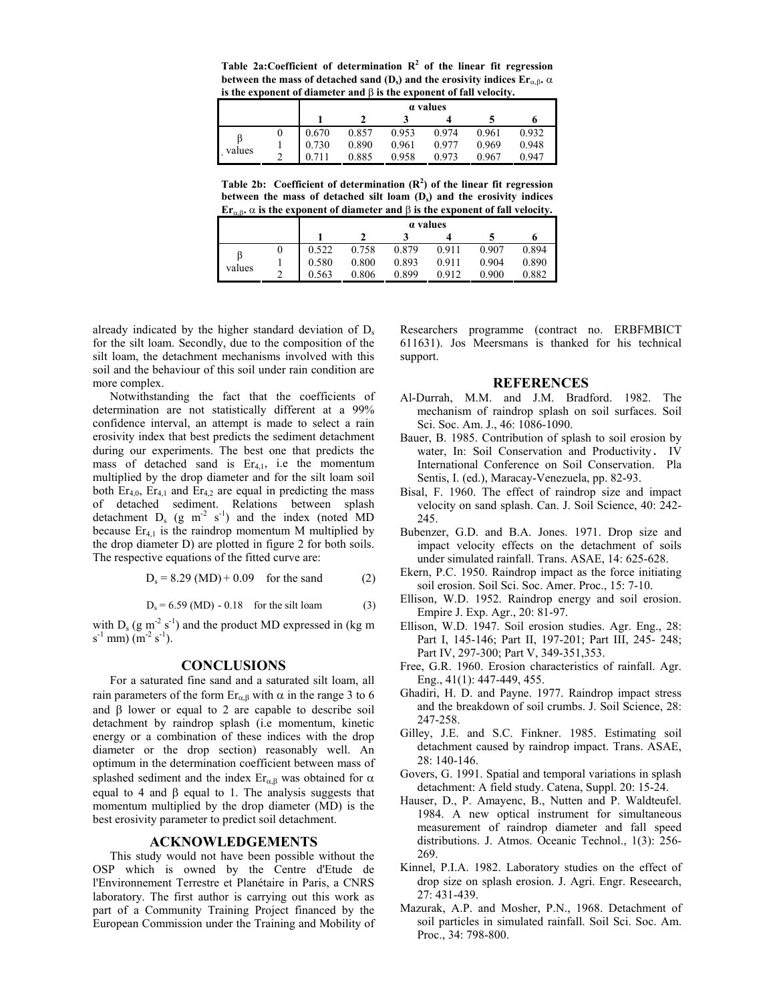Table  $2a$ : Coefficient of determination  $R^2$  of the linear fit regression **between the mass of detached sand**  $(D_s)$  **and the erosivity indices**  $Er_{\alpha,\beta}$ **<b>.**  $\alpha$ **is the exponent of diameter and** β **is the exponent of fall velocity.** 

|        |   | <i>a</i> values |       |       |       |       |       |
|--------|---|-----------------|-------|-------|-------|-------|-------|
|        |   |                 |       |       |       |       |       |
| values |   | 0.670           | 0.857 | 0.953 | 0.974 | 0.961 | 0.932 |
|        |   | 0.730           | 0.890 | 0.961 | 0.977 | 0.969 | 0.948 |
|        | ◠ |                 | 0.885 | 0.958 | 0.973 | 0.967 | 0.947 |

Table 2b: Coefficient of determination  $(R^2)$  of the linear fit regression between the mass of detached silt loam (D<sub>s</sub>) and the erosivity indices **Er**<sub>α,β</sub>**.**  $\alpha$  is the exponent of diameter and  $\beta$  is the exponent of fall velocity.

|        | <i>a</i> values |       |       |       |       |       |
|--------|-----------------|-------|-------|-------|-------|-------|
|        |                 |       |       |       |       |       |
| values | 0.522           | 0.758 | 0.879 | 0.911 | 0.907 | 0.894 |
|        | 0.580           | 0.800 | 0.893 | 0.911 | 0.904 | 0.890 |
|        | 0.563           | 0.806 | 0.899 | 0.912 | 0.900 | 0.882 |

already indicated by the higher standard deviation of  $D_s$ for the silt loam. Secondly, due to the composition of the silt loam, the detachment mechanisms involved with this soil and the behaviour of this soil under rain condition are more complex.

Notwithstanding the fact that the coefficients of determination are not statistically different at a 99% confidence interval, an attempt is made to select a rain erosivity index that best predicts the sediment detachment during our experiments. The best one that predicts the mass of detached sand is  $Er_{4,1}$ , i.e the momentum multiplied by the drop diameter and for the silt loam soil both  $Er_{4,0}$ ,  $Er_{4,1}$  and  $Er_{4,2}$  are equal in predicting the mass of detached sediment. Relations between splash detachment  $D_s$  (g m<sup>-2</sup> s<sup>-1</sup>) and the index (noted MD because  $Er_{41}$  is the raindrop momentum M multiplied by the drop diameter D) are plotted in figure 2 for both soils. The respective equations of the fitted curve are:

$$
D_s = 8.29 \text{ (MD)} + 0.09 \quad \text{for the sand} \tag{2}
$$

$$
D_s = 6.59 \, (MD) - 0.18
$$
 for the slit loan (3)

with  $D_s$  (g m<sup>-2</sup> s<sup>-1</sup>) and the product MD expressed in (kg m  $s^{-1}$  mm)  $(m^{-2} s^{-1})$ .

## **CONCLUSIONS**

For a saturated fine sand and a saturated silt loam, all rain parameters of the form  $Er_{α,β}$  with α in the range 3 to 6 and  $\beta$  lower or equal to 2 are capable to describe soil detachment by raindrop splash (i.e momentum, kinetic energy or a combination of these indices with the drop diameter or the drop section) reasonably well. An optimum in the determination coefficient between mass of splashed sediment and the index  $\text{Er}_{\alpha,\beta}$  was obtained for  $\alpha$ equal to 4 and  $β$  equal to 1. The analysis suggests that momentum multiplied by the drop diameter (MD) is the best erosivity parameter to predict soil detachment.

# **ACKNOWLEDGEMENTS**

This study would not have been possible without the OSP which is owned by the Centre d'Etude de l'Environnement Terrestre et Planétaire in Paris, a CNRS laboratory. The first author is carrying out this work as part of a Community Training Project financed by the European Commission under the Training and Mobility of Researchers programme (contract no. ERBFMBICT 611631). Jos Meersmans is thanked for his technical support.

## **REFERENCES**

- Al-Durrah, M.M. and J.M. Bradford. 1982. The mechanism of raindrop splash on soil surfaces. Soil Sci. Soc. Am. J., 46: 1086-1090.
- Bauer, B. 1985. Contribution of splash to soil erosion by water, In: Soil Conservation and Productivity. IV International Conference on Soil Conservation. Pla Sentis, I. (ed.), Maracay-Venezuela, pp. 82-93.
- Bisal, F. 1960. The effect of raindrop size and impact velocity on sand splash. Can. J. Soil Science, 40: 242- 245.
- Bubenzer, G.D. and B.A. Jones. 1971. Drop size and impact velocity effects on the detachment of soils under simulated rainfall. Trans. ASAE, 14: 625-628.
- Ekern, P.C. 1950. Raindrop impact as the force initiating soil erosion. Soil Sci. Soc. Amer. Proc., 15: 7-10.
- Ellison, W.D. 1952. Raindrop energy and soil erosion. Empire J. Exp. Agr., 20: 81-97.
- Ellison, W.D. 1947. Soil erosion studies. Agr. Eng., 28: Part I, 145-146; Part II, 197-201; Part III, 245- 248; Part IV, 297-300; Part V, 349-351,353.
- Free, G.R. 1960. Erosion characteristics of rainfall. Agr. Eng., 41(1): 447-449, 455.
- Ghadiri, H. D. and Payne. 1977. Raindrop impact stress and the breakdown of soil crumbs. J. Soil Science, 28: 247-258.
- Gilley, J.E. and S.C. Finkner. 1985. Estimating soil detachment caused by raindrop impact. Trans. ASAE, 28: 140-146.
- Govers, G. 1991. Spatial and temporal variations in splash detachment: A field study. Catena, Suppl. 20: 15-24.
- Hauser, D., P. Amayenc, B., Nutten and P. Waldteufel. 1984. A new optical instrument for simultaneous measurement of raindrop diameter and fall speed distributions. J. Atmos. Oceanic Technol., 1(3): 256- 269.
- Kinnel, P.I.A. 1982. Laboratory studies on the effect of drop size on splash erosion. J. Agri. Engr. Reseearch, 27: 431-439.
- Mazurak, A.P. and Mosher, P.N., 1968. Detachment of soil particles in simulated rainfall. Soil Sci. Soc. Am. Proc., 34: 798-800.